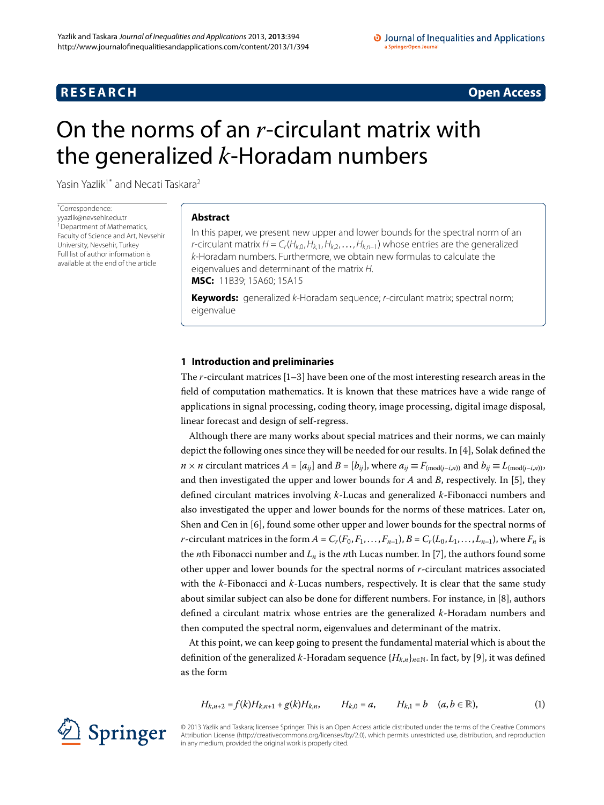# **RESEARCH CONSTRUCTED ACCESS**

# <span id="page-0-0"></span>On the norms of an *r*-circulant matrix with the generalized *k*-Horadam numbers

Yasin Yazlik<sup>[1](#page-7-0)[\\*](#page-0-0)</sup> and Necati Taskara<sup>2</sup>

\* Correspondence: [yyazlik@nevsehir.edu.tr](mailto:yyazlik@nevsehir.edu.tr) <sup>1</sup> Department of Mathematics, Faculty of Science and Art, Nevsehir University, Nevsehir, Turkey Full list of author information is available at the end of the article

# **Abstract**

In this paper, we present new upper and lower bounds for the spectral norm of an *r*-circulant matrix  $H = C_r(H_{k,0},H_{k,1},H_{k,2},\ldots,H_{k,n-1})$  whose entries are the generalized k-Horadam numbers. Furthermore, we obtain new formulas to calculate the eigenvalues and determinant of the matrix H. **MSC:** 11B39; 15A60; 15A15

**Keywords:** generalized k-Horadam sequence; r-circulant matrix; spectral norm; eigenvalue

# **1 Introduction and preliminaries**

The  $r$ -circulant matrices  $[1-3]$  $[1-3]$  have been one of the most interesting research areas in the field of computation mathematics. It is known that these matrices have a wide range of applications in signal processing, coding theory, image processing, digital image disposal, linear forecast and design of self-regress.

Although there are many works about special matrices and their norms, we can mainly depict the following ones since they will be needed for our results. In  $[4]$ , Solak defined the  $n \times n$  circulant matrices  $A = [a_{ij}]$  and  $B = [b_{ij}]$ , where  $a_{ij} \equiv F_{\text{(mod}(j-i,n))}$  and  $b_{ij} \equiv L_{\text{(mod}(j-i,n))}$ , and then investigated the upper and lower bounds for  $A$  and  $B$ , respectively. In [\[](#page-7-5)5], they defined circulant matrices involving *k*-Lucas and generalized *k*-Fibonacci numbers and also investigated the upper and lower bounds for the norms of these matrices. Later on, Shen and Cen in  $[6]$ , found some other upper and lower bounds for the spectral norms of *r*-circulant matrices in the form  $A = C_r(F_0, F_1, \ldots, F_{n-1}), B = C_r(L_0, L_1, \ldots, L_{n-1}),$  where  $F_n$  is the *n*th Fibonacci number and  $L_n$  is the *n*th Lucas number. In [7[\]](#page-7-7), the authors found some other upper and lower bounds for the spectral norms of *r*-circulant matrices associated with the *k*-Fibonacci and *k*-Lucas numbers, respectively. It is clear that the same study about similar subject can also be done for different numbers. For instance, in [\[](#page-7-8)8], authors defined a circulant matrix whose entries are the generalized *k*-Horadam numbers and then computed the spectral norm, eigenvalues and determinant of the matrix.

At this point, we can keep going to present the fundamental material which is about the definition of the generalized *k*-Horadam sequence  ${H_{k,n}}_{n\in\mathbb{N}}$ . In fact, by [9[\]](#page-7-9), it was defined as the form

<span id="page-0-1"></span>
$$
H_{k,n+2}=f(k)H_{k,n+1}+g(k)H_{k,n}, \qquad H_{k,0}=a, \qquad H_{k,1}=b \quad (a,b\in\mathbb{R}),
$$
 (1)

© 2013 Yazlik and Taskara; licensee Springer. This is an Open Access article distributed under the terms of the Creative Commons Attribution License [\(http://creativecommons.org/licenses/by/2.0](http://creativecommons.org/licenses/by/2.0)), which permits unrestricted use, distribution, and reproduction in any medium, provided the original work is properly cited.

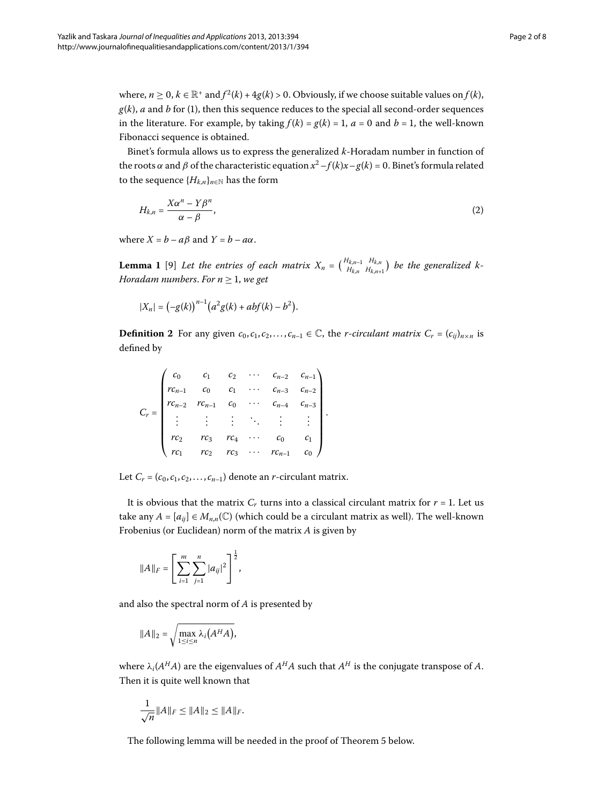where,  $n \ge 0$ ,  $k \in \mathbb{R}^+$  and  $f^2(k) + 4g(k) > 0$ . Obviously, if we choose suitable values on  $f(k)$ ,  $g(k)$ , *a* and *b* for (1), then this sequence reduces to the special all second-order sequences in the literature. For example, by taking  $f(k) = g(k) = 1$ ,  $a = 0$  and  $b = 1$ , the well-known Fibonacci sequence is obtained.

<span id="page-1-0"></span>Binet's formula allows us to express the generalized *k*-Horadam number in function of the roots *α* and *β* of the characteristic equation  $x^2 - f(k)x - g(k) = 0$ . Binet's formula related to the sequence  ${H_{k,n}}_{n \in \mathbb{N}}$  has the form

<span id="page-1-1"></span>
$$
H_{k,n} = \frac{X\alpha^n - Y\beta^n}{\alpha - \beta},\tag{2}
$$

where  $X = b - a\beta$  and  $Y = b - a\alpha$ .

**Lemma 1** [9] Let the entries of each matrix  $X_n = \begin{pmatrix} H_{k,n-1} & H_{k,n} \\ H_{k,n} & H_{k,n} \end{pmatrix}$  $H_{k,n-1}$   $H_{k,n+1}$  be the generalized k-*Horadam numbers. For*  $n \geq 1$ *, we get* 

$$
|X_n| = (-g(k))^{n-1} (a^2 g(k) + abf(k) - b^2).
$$

**Definition 2** For any given  $c_0, c_1, c_2, \ldots, c_{n-1} \in \mathbb{C}$ , the *r*-*circulant matrix*  $C_r = (c_{ij})_{n \times n}$  is defined by

$$
C_r = \begin{pmatrix} c_0 & c_1 & c_2 & \cdots & c_{n-2} & c_{n-1} \\ rc_{n-1} & c_0 & c_1 & \cdots & c_{n-3} & c_{n-2} \\ rc_{n-2} & rc_{n-1} & c_0 & \cdots & c_{n-4} & c_{n-3} \\ \vdots & \vdots & \vdots & \ddots & \vdots & \vdots \\ rc_2 & rc_3 & rc_4 & \cdots & c_0 & c_1 \\ rc_1 & rc_2 & rc_3 & \cdots & rc_{n-1} & c_0 \end{pmatrix}.
$$

Let  $C_r = (c_0, c_1, c_2, \ldots, c_{n-1})$  denote an *r*-circulant matrix.

It is obvious that the matrix  $C_r$  turns into a classical circulant matrix for  $r = 1$ . Let us take any  $A = [a_{ij}] \in M_{n,n}(\mathbb{C})$  (which could be a circulant matrix as well). The well-known Frobenius (or Euclidean) norm of the matrix *A* is given by

$$
||A||_F = \left[\sum_{i=1}^m \sum_{j=1}^n |a_{ij}|^2\right]^{\frac{1}{2}},
$$

and also the spectral norm of *A* is presented by

$$
||A||_2 = \sqrt{\max_{1 \le i \le n} \lambda_i(A^H A)},
$$

where  $\lambda_i(A^H A)$  are the eigenvalues of  $A^H A$  such that  $A^H$  is the conjugate transpose of  $A$ . Then it is quite well known that

$$
\frac{1}{\sqrt{n}} \|A\|_F \le \|A\|_2 \le \|A\|_F.
$$

The following lemma will be needed in the proof of Theorem 5 below.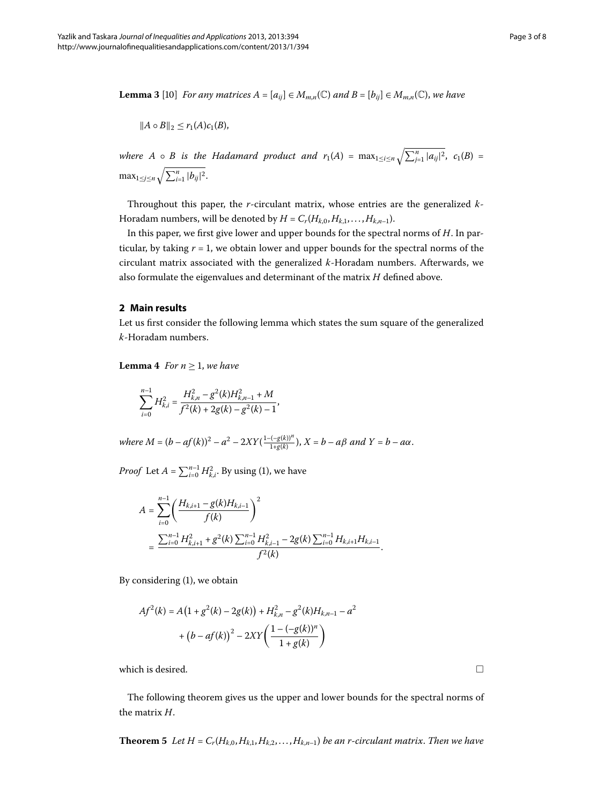<span id="page-2-2"></span>**Lemma 3** [10] *For any matrices*  $A = [a_{ij}] \in M_{m,n}(\mathbb{C})$  *and*  $B = [b_{ij}] \in M_{m,n}(\mathbb{C})$ *, we have* 

$$
||A \circ B||_2 \leq r_1(A)c_1(B),
$$

*where A*  $\circ$  *B is the Hadamard product and*  $r_1(A) = \max_{1 \le i \le n} \sqrt{\sum_{j=1}^n |a_{ij}|^2}$ ,  $c_1(B) =$  $\max_{1 \le j \le n} \sqrt{\sum_{i=1}^n |b_{ij}|^2}.$ 

Throughout this paper, the *r*-circulant matrix, whose entries are the generalized *k*-Horadam numbers, will be denoted by  $H = C_r(H_{k,0}, H_{k,1}, \ldots, H_{k,n-1}).$ 

In this paper, we first give lower and upper bounds for the spectral norms of *H*. In particular, by taking  $r = 1$ , we obtain lower and upper bounds for the spectral norms of the circulant matrix associated with the generalized *k*-Horadam numbers. Afterwards, we also formulate the eigenvalues and determinant of the matrix *H* defined above.

### <span id="page-2-1"></span>**2 Main results**

Let us first consider the following lemma which states the sum square of the generalized *k*-Horadam numbers.

**Lemma 4** *For*  $n \geq 1$ *, we have* 

$$
\sum_{i=0}^{n-1} H_{k,i}^2 = \frac{H_{k,n}^2 - g^2(k)H_{k,n-1}^2 + M}{f^2(k) + 2g(k) - g^2(k) - 1},
$$

 $where M = (b - af(k))^{2} - a^{2} - 2XY(\frac{1 - (-g(k))^{n}}{1 + g(k)})$ ,  $X = b - a\beta$  *and*  $Y = b - a\alpha$ .

*Proof* Let  $A = \sum_{i=0}^{n-1} H_{k,i}^2$ . By using [\(](#page-0-1)1), we have

$$
A = \sum_{i=0}^{n-1} \left( \frac{H_{k,i+1} - g(k)H_{k,i-1}}{f(k)} \right)^2
$$
  
= 
$$
\frac{\sum_{i=0}^{n-1} H_{k,i+1}^2 + g^2(k) \sum_{i=0}^{n-1} H_{k,i-1}^2 - 2g(k) \sum_{i=0}^{n-1} H_{k,i+1}H_{k,i-1}}{f^2(k)}.
$$

By considering  $(1)$  $(1)$ , we obtain

$$
Af^{2}(k) = A(1 + g^{2}(k) - 2g(k)) + H_{k,n}^{2} - g^{2}(k)H_{k,n-1} - a^{2}
$$

$$
+ (b - af(k))^{2} - 2XY\left(\frac{1 - (-g(k))^{n}}{1 + g(k)}\right)
$$

<span id="page-2-0"></span>which is desired.

The following theorem gives us the upper and lower bounds for the spectral norms of the matrix *H*.

**Theorem 5** Let  $H = C_r(H_{k,0}, H_{k,1}, H_{k,2}, \ldots, H_{k,n-1})$  be an *r*-circulant matrix. Then we have

 $\Box$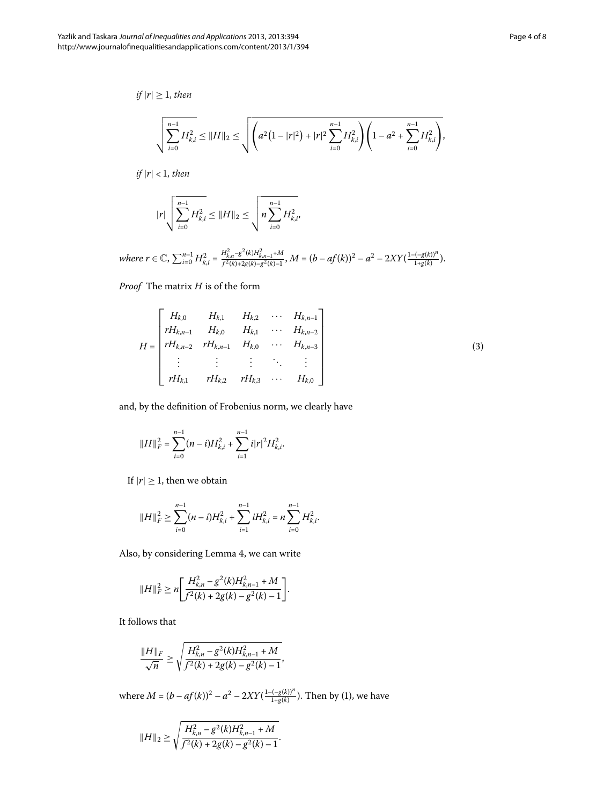*if*  $|r| \geq 1$ *, then* 

$$
\sqrt{\sum_{i=0}^{n-1} H_{k,i}^2} \leq ||H||_2 \leq \sqrt{\left( a^2 \left( 1 - |r|^2 \right) + |r|^2 \sum_{i=0}^{n-1} H_{k,i}^2 \right) \left( 1 - a^2 + \sum_{i=0}^{n-1} H_{k,i}^2 \right)},
$$

 $if |r| < 1, then$ 

<span id="page-3-0"></span>
$$
|r| \sqrt{\sum_{i=0}^{n-1} H_{k,i}^2} \leq ||H||_2 \leq \sqrt{n \sum_{i=0}^{n-1} H_{k,i}^2},
$$

where  $r \in \mathbb{C}$ ,  $\sum_{i=0}^{n-1} H_{k,i}^2 = \frac{H_{k,n}^2 - g^2(k)H_{k,n-1}^2 + M}{f^2(k) + 2g(k) - g^2(k)-1}$ ,  $M = (b - af(k))^2 - a^2 - 2XY(\frac{1 - (-g(k))^n}{1 + g(k)})$ .

*Proof* The matrix *H* is of the form

$$
H = \begin{bmatrix} H_{k,0} & H_{k,1} & H_{k,2} & \cdots & H_{k,n-1} \\ rH_{k,n-1} & H_{k,0} & H_{k,1} & \cdots & H_{k,n-2} \\ rH_{k,n-2} & rH_{k,n-1} & H_{k,0} & \cdots & H_{k,n-3} \\ \vdots & \vdots & \vdots & \ddots & \vdots \\ rH_{k,1} & rH_{k,2} & rH_{k,3} & \cdots & H_{k,0} \end{bmatrix}
$$
(3)

and, by the definition of Frobenius norm, we clearly have

$$
||H||_F^2 = \sum_{i=0}^{n-1} (n-i)H_{k,i}^2 + \sum_{i=1}^{n-1} i|r|^2 H_{k,i}^2.
$$

If  $|r| \geq 1$ , then we obtain

$$
||H||_F^2 \geq \sum_{i=0}^{n-1} (n-i)H_{k,i}^2 + \sum_{i=1}^{n-1} iH_{k,i}^2 = n\sum_{i=0}^{n-1} H_{k,i}^2.
$$

Also[,](#page-2-1) by considering Lemma 4, we can write

$$
||H||_F^2 \ge n \bigg[ \frac{H_{k,n}^2 - g^2(k)H_{k,n-1}^2 + M}{f^2(k) + 2g(k) - g^2(k) - 1} \bigg].
$$

It follows that

$$
\frac{\|H\|_F}{\sqrt{n}} \ge \sqrt{\frac{H_{k,n}^2 - g^2(k)H_{k,n-1}^2 + M}{f^2(k) + 2g(k) - g^2(k) - 1}},
$$

where  $M = (b - af(k))^{2} - a^{2} - 2XY(\frac{1 - (-g(k))^{n}}{1 + g(k)})$  $M = (b - af(k))^{2} - a^{2} - 2XY(\frac{1 - (-g(k))^{n}}{1 + g(k)})$  $M = (b - af(k))^{2} - a^{2} - 2XY(\frac{1 - (-g(k))^{n}}{1 + g(k)})$ . Then by (1), we have

$$
||H||_2 \ge \sqrt{\frac{H_{k,n}^2 - g^2(k)H_{k,n-1}^2 + M}{f^2(k) + 2g(k) - g^2(k) - 1}}.
$$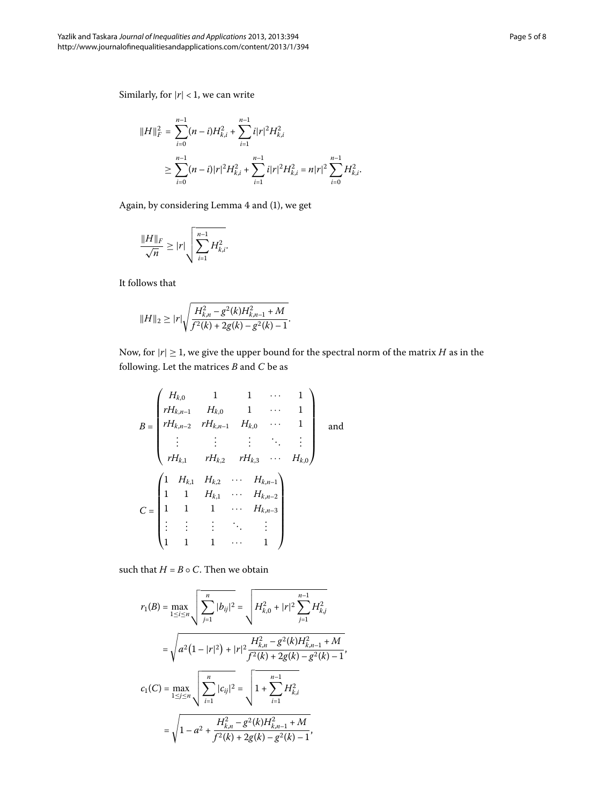Similarly, for  $|r| < 1$ , we can write

$$
||H||_F^2 = \sum_{i=0}^{n-1} (n-i)H_{k,i}^2 + \sum_{i=1}^{n-1} i|r|^2 H_{k,i}^2
$$
  
\n
$$
\geq \sum_{i=0}^{n-1} (n-i)|r|^2 H_{k,i}^2 + \sum_{i=1}^{n-1} i|r|^2 H_{k,i}^2 = n|r|^2 \sum_{i=0}^{n-1} H_{k,i}^2.
$$

Again, by considering Lemma 4 and (1), we get

$$
\frac{\|H\|_F}{\sqrt{n}} \geq |r| \sqrt{\sum_{i=1}^{n-1} H_{k,i}^2}.
$$

It follows that

$$
||H||_2 \geq |r| \sqrt{\frac{H_{k,n}^2 - g^2(k)H_{k,n-1}^2 + M}{f^2(k) + 2g(k) - g^2(k) - 1}}.
$$

Now, for  $|r| \geq 1$ , we give the upper bound for the spectral norm of the matrix *H* as in the following. Let the matrices *B* and *C* be as

$$
B = \begin{pmatrix} H_{k,0} & 1 & 1 & \cdots & 1 \\ rH_{k,n-1} & H_{k,0} & 1 & \cdots & 1 \\ rH_{k,n-2} & rH_{k,n-1} & H_{k,0} & \cdots & 1 \\ \vdots & \vdots & \vdots & \ddots & \vdots \\ rH_{k,1} & rH_{k,2} & rH_{k,3} & \cdots & H_{k,0} \end{pmatrix}
$$
 and 
$$
C = \begin{pmatrix} 1 & H_{k,1} & H_{k,2} & \cdots & H_{k,n-1} \\ 1 & 1 & H_{k,1} & \cdots & H_{k,n-2} \\ \vdots & \vdots & \vdots & \ddots & \vdots \\ 1 & 1 & 1 & \cdots & 1 \end{pmatrix}
$$

such that  $H = B \circ C$ . Then we obtain

$$
r_1(B) = \max_{1 \le i \le n} \sqrt{\sum_{j=1}^n |b_{ij}|^2} = \sqrt{H_{k,0}^2 + |r|^2 \sum_{j=1}^{n-1} H_{k,j}^2}
$$
  
=  $\sqrt{a^2 (1 - |r|^2) + |r|^2 \frac{H_{k,n}^2 - g^2(k)H_{k,n-1}^2 + M}{f^2(k) + 2g(k) - g^2(k) - 1}}$ ,  

$$
c_1(C) = \max_{1 \le j \le n} \sqrt{\sum_{i=1}^n |c_{ij}|^2} = \sqrt{1 + \sum_{i=1}^{n-1} H_{k,i}^2}
$$
  
=  $\sqrt{1 - a^2 + \frac{H_{k,n}^2 - g^2(k)H_{k,n-1}^2 + M}{f^2(k) + 2g(k) - g^2(k) - 1}}$ ,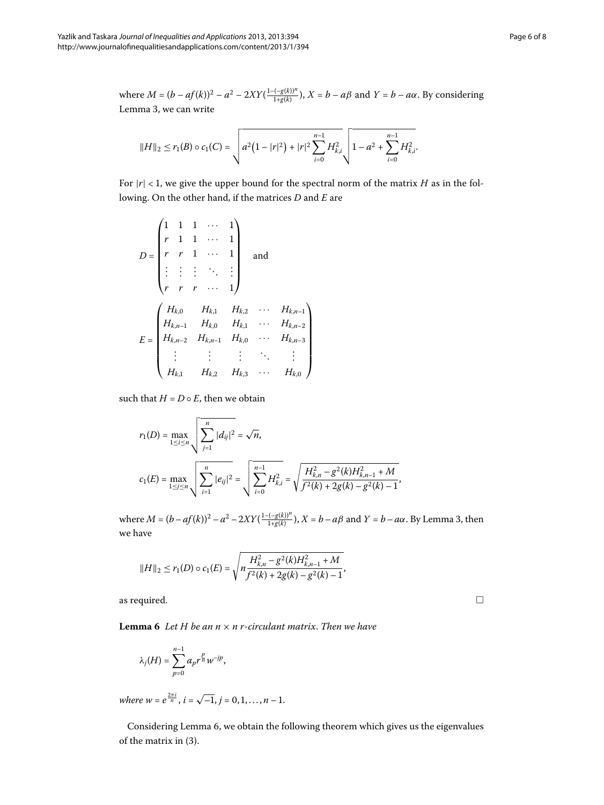where  $M = (b - af(k))^{2} - a^{2} - 2XY(\frac{1 - (gl(k))^{n}}{1 + g(k)})$ ,  $X = b - a\beta$  and  $Y = b - a\alpha$ . By considering Lemma 3[,](#page-2-2) we can write

$$
||H||_2 \le r_1(B) \circ c_1(C) = \sqrt{a^2(1-|r|^2) + |r|^2 \sum_{i=0}^{n-1} H_{k,i}^2 \sqrt{1-a^2 + \sum_{i=0}^{n-1} H_{k,i}^2}}.
$$

For  $|r| < 1$ , we give the upper bound for the spectral norm of the matrix *H* as in the following. On the other hand, if the matrices *D* and *E* are

 $\setminus$ 

 $\overline{\mathcal{A}}$  $\overline{\mathcal{L}}$  $\overline{\mathcal{A}}$  $\blacksquare$ ⎠

$$
D = \begin{pmatrix} 1 & 1 & 1 & \cdots & 1 \\ r & 1 & 1 & \cdots & 1 \\ r & r & 1 & \cdots & 1 \\ \vdots & \vdots & \vdots & \ddots & \vdots \\ r & r & r & \cdots & 1 \end{pmatrix} \text{ and }
$$
  

$$
E = \begin{pmatrix} H_{k,0} & H_{k,1} & H_{k,2} & \cdots & H_{k,n-1} \\ H_{k,n-1} & H_{k,0} & H_{k,1} & \cdots & H_{k,n-2} \\ H_{k,n-2} & H_{k,n-1} & H_{k,0} & \cdots & H_{k,n-3} \\ \vdots & \vdots & \vdots & \ddots & \vdots \\ H_{k,1} & H_{k,2} & H_{k,3} & \cdots & H_{k,0} \end{pmatrix}
$$

such that  $H = D \circ E$ , then we obtain

$$
r_1(D) = \max_{1 \le i \le n} \sqrt{\sum_{j=1}^n |d_{ij}|^2} = \sqrt{n},
$$
  

$$
c_1(E) = \max_{1 \le j \le n} \sqrt{\sum_{i=1}^n |e_{ij}|^2} = \sqrt{\sum_{i=0}^{n-1} H_{k,i}^2} = \sqrt{\frac{H_{k,n}^2 - g^2(k)H_{k,n-1}^2 + M}{f^2(k) + 2g(k) - g^2(k) - 1}},
$$

<span id="page-5-0"></span>where  $M = (b - af(k))^2 - a^2 - 2XY(\frac{1 - (-g(k))^n}{1 + g(k)})$ [,](#page-2-2)  $X = b - a\beta$  and  $Y = b - a\alpha$ . By Lemma 3, then we have

$$
||H||_2 \le r_1(D) \circ c_1(E) = \sqrt{n \frac{H_{k,n}^2 - g^2(k)H_{k,n-1}^2 + M}{f^2(k) + 2g(k) - g^2(k) - 1}},
$$

as required.

**Lemma 6** Let  $H$  be an  $n \times n$  *r*-circulant matrix. Then we have

$$
\lambda_j(H) = \sum_{p=0}^{n-1} a_p r^{\frac{p}{n}} w^{-jp},
$$

*where*  $w = e^{\frac{2\pi i}{n}}$ ,  $i = \sqrt{-1}$ ,  $j = 0, 1, ..., n - 1$ .

Considering Lemma 6, we obtain the following theorem which gives us the eigenvalues of the matrix in [\(](#page-3-0)3).

 $\Box$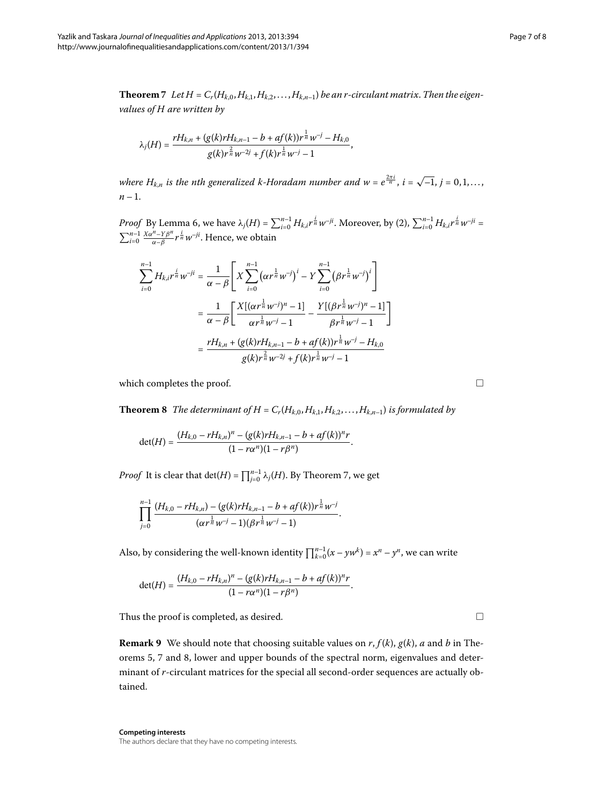<span id="page-6-0"></span>**Theorem** 7 Let  $H = C_r(H_{k,0}, H_{k,1}, H_{k,2}, \ldots, H_{k,n-1})$  be an r-circulant matrix. Then the eigen*values of H are written by*

$$
\lambda_j(H) = \frac{rH_{k,n} + (g(k)rH_{k,n-1} - b + af(k))r^{\frac{1}{n}}w^{-j} - H_{k,0}}{g(k)r^{\frac{2}{n}}w^{-2j} + f(k)r^{\frac{1}{n}}w^{-j} - 1},
$$

*where*  $H_{k,n}$  *is the nth generalized k-Horadam number and*  $w = e^{\frac{2\pi i}{n}}$ *,*  $i = \sqrt{-1}$ *,*  $j = 0, 1, \ldots$ *,*  $n-1$ .

*Proof* By Lemma 6, we have  $\lambda_j(H) = \sum_{i=0}^{n-1} H_{k,i} r^{\frac{i}{n}} w^{-ji}$  $\lambda_j(H) = \sum_{i=0}^{n-1} H_{k,i} r^{\frac{i}{n}} w^{-ji}$  $\lambda_j(H) = \sum_{i=0}^{n-1} H_{k,i} r^{\frac{i}{n}} w^{-ji}$ . Moreover, by (2),  $\sum_{i=0}^{n-1} H_{k,i} r^{\frac{i}{n}} w^{-ji} =$  $\sum_{i=0}^{n-1} \frac{X\alpha^n - Y\beta^n}{\alpha - \beta} r^{\frac{i}{n}} w^{-ji}$ . Hence, we obtain

<span id="page-6-1"></span>
$$
\sum_{i=0}^{n-1} H_{k,i} r^{\frac{i}{n}} w^{-ji} = \frac{1}{\alpha - \beta} \left[ X \sum_{i=0}^{n-1} (\alpha r^{\frac{1}{n}} w^{-i})^i - Y \sum_{i=0}^{n-1} (\beta r^{\frac{1}{n}} w^{-i})^i \right]
$$
  

$$
= \frac{1}{\alpha - \beta} \left[ \frac{X[(\alpha r^{\frac{1}{n}} w^{-i})^n - 1]}{\alpha r^{\frac{1}{n}} w^{-i} - 1} - \frac{Y[(\beta r^{\frac{1}{n}} w^{-i})^n - 1]}{\beta r^{\frac{1}{n}} w^{-i} - 1} \right]
$$
  

$$
= \frac{r H_{k,n} + (g(k) r H_{k,n-1} - b + af(k)) r^{\frac{1}{n}} w^{-i} - H_{k,0}}{g(k) r^{\frac{2}{n}} w^{-2i} + f(k) r^{\frac{1}{n}} w^{-i} - 1}
$$

which completes the proof.

**Theorem 8** The determinant of  $H = C_r(H_{k,0}, H_{k,1}, H_{k,2},...,H_{k,n-1})$  is formulated by

$$
\det(H) = \frac{(H_{k,0} - rH_{k,n})^n - (g(k)rH_{k,n-1} - b + af(k))^n r}{(1 - r\alpha^n)(1 - r\beta^n)}.
$$

*Proof* It is clear that  $\det(H) = \prod_{j=0}^{n-1} \lambda_j(H)$ . By Theorem 7[,](#page-6-0) we get

$$
\prod_{j=0}^{n-1}\frac{(H_{k,0}-rH_{k,n})-(g(k)rH_{k,n-1}-b+af(k))r^{\frac{1}{n}}w^{-j}}{(\alpha r^{\frac{1}{n}}w^{-j}-1)(\beta r^{\frac{1}{n}}w^{-j}-1)}.
$$

Also, by considering the well-known identity  $\prod_{k=0}^{n-1} (x - yw^k) = x^n - y^n$ , we can write

$$
\det(H) = \frac{(H_{k,0} - rH_{k,n})^n - (g(k)rH_{k,n-1} - b + af(k))^n r}{(1 - r\alpha^n)(1 - r\beta^n)}.
$$

Thus the proof is completed, as desired.

**Remark 9** We should note that choosing suitable values on  $r$ ,  $f(k)$ ,  $g(k)$ ,  $a$  and  $b$  in The-orems 5[,](#page-6-1) 7 and 8, lower and upper bounds of the spectral norm, eigenvalues and determinant of *r*-circulant matrices for the special all second-order sequences are actually obtained.

**Competing interests** The authors declare that they have no competing interests.

 $\Box$